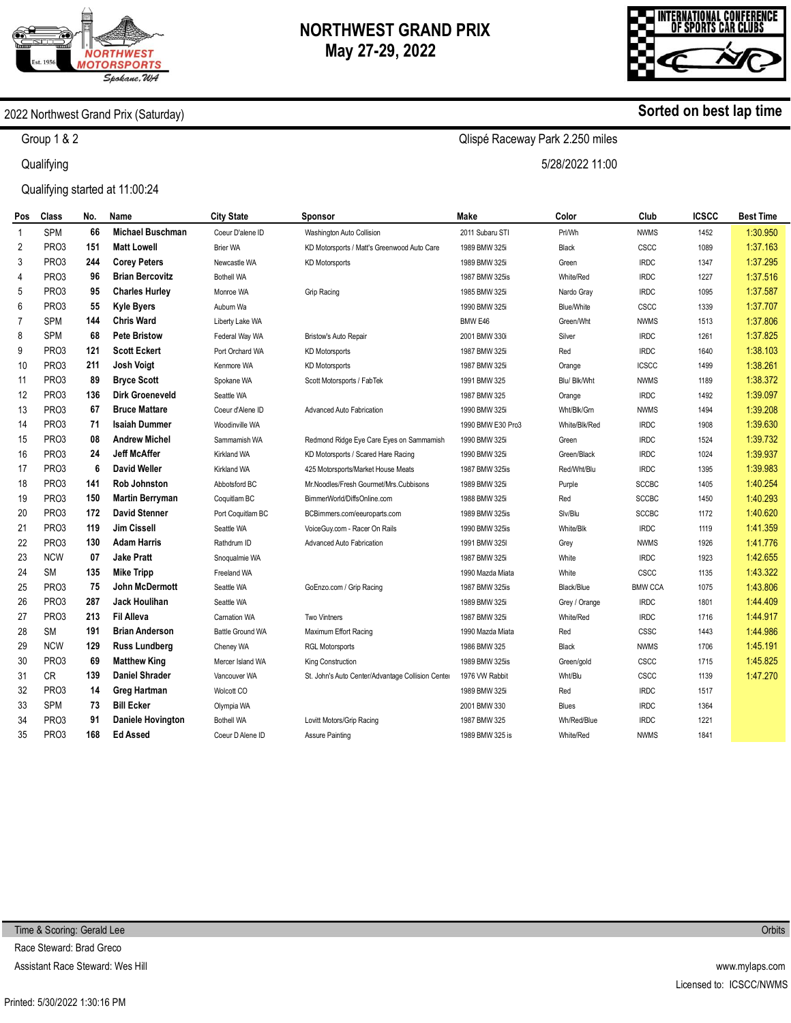



#### 2022 Northwest Grand Prix (Saturday)

Group 1 & 2

**Qualifying** 

Qualifying started at 11:00:24

| Pos            | Class             | No. | Name                     | <b>City State</b>       | Sponsor                                          | Make              | Color             | Club           | <b>ICSCC</b> | Best Time |
|----------------|-------------------|-----|--------------------------|-------------------------|--------------------------------------------------|-------------------|-------------------|----------------|--------------|-----------|
| 1              | <b>SPM</b>        | 66  | <b>Michael Buschman</b>  | Coeur D'alene ID        | Washington Auto Collision                        | 2011 Subaru STI   | Prl/Wh            | <b>NWMS</b>    | 1452         | 1:30.950  |
| 2              | PRO3              | 151 | <b>Matt Lowell</b>       | <b>Brier WA</b>         | KD Motorsports / Matt's Greenwood Auto Care      | 1989 BMW 325i     | <b>Black</b>      | CSCC           | 1089         | 1:37.163  |
| 3              | PRO <sub>3</sub>  | 244 | <b>Corey Peters</b>      | Newcastle WA            | <b>KD Motorsports</b>                            | 1989 BMW 325i     | Green             | <b>IRDC</b>    | 1347         | 1:37.295  |
| $\overline{4}$ | PR <sub>O</sub> 3 | 96  | <b>Brian Bercovitz</b>   | <b>Bothell WA</b>       |                                                  | 1987 BMW 325is    | White/Red         | <b>IRDC</b>    | 1227         | 1:37.516  |
| 5              | PR <sub>O</sub> 3 | 95  | <b>Charles Hurley</b>    | Monroe WA               | Grip Racing                                      | 1985 BMW 325i     | Nardo Gray        | <b>IRDC</b>    | 1095         | 1:37.587  |
| 6              | PR <sub>O</sub> 3 | 55  | <b>Kyle Byers</b>        | Auburn Wa               |                                                  | 1990 BMW 325i     | <b>Blue/White</b> | CSCC           | 1339         | 1:37.707  |
| $\overline{7}$ | <b>SPM</b>        | 144 | <b>Chris Ward</b>        | Liberty Lake WA         |                                                  | BMW E46           | Green/Wht         | <b>NWMS</b>    | 1513         | 1:37.806  |
| 8              | <b>SPM</b>        | 68  | <b>Pete Bristow</b>      | Federal Way WA          | Bristow's Auto Repair                            | 2001 BMW 330i     | Silver            | <b>IRDC</b>    | 1261         | 1:37.825  |
| 9              | PR <sub>O</sub> 3 | 121 | <b>Scott Eckert</b>      | Port Orchard WA         | <b>KD Motorsports</b>                            | 1987 BMW 325i     | Red               | <b>IRDC</b>    | 1640         | 1:38.103  |
| 10             | PR <sub>O</sub> 3 | 211 | <b>Josh Voigt</b>        | Kenmore WA              | <b>KD Motorsports</b>                            | 1987 BMW 325i     | Orange            | <b>ICSCC</b>   | 1499         | 1:38.261  |
| 11             | PR <sub>O</sub> 3 | 89  | <b>Bryce Scott</b>       | Spokane WA              | Scott Motorsports / FabTek                       | 1991 BMW 325      | Blu/ Blk/Wht      | <b>NWMS</b>    | 1189         | 1:38.372  |
| 12             | PR <sub>O</sub> 3 | 136 | <b>Dirk Groeneveld</b>   | Seattle WA              |                                                  | 1987 BMW 325      | Orange            | <b>IRDC</b>    | 1492         | 1:39.097  |
| 13             | PRO3              | 67  | <b>Bruce Mattare</b>     | Coeur d'Alene ID        | <b>Advanced Auto Fabrication</b>                 | 1990 BMW 325i     | Wht/Blk/Grn       | <b>NWMS</b>    | 1494         | 1:39.208  |
| 14             | PRO3              | 71  | <b>Isaiah Dummer</b>     | Woodinville WA          |                                                  | 1990 BMW E30 Pro3 | White/Blk/Red     | <b>IRDC</b>    | 1908         | 1:39.630  |
| 15             | PRO <sub>3</sub>  | 08  | <b>Andrew Michel</b>     | Sammamish WA            | Redmond Ridge Eye Care Eyes on Sammamish         | 1990 BMW 325i     | Green             | <b>IRDC</b>    | 1524         | 1:39.732  |
| 16             | PRO <sub>3</sub>  | 24  | <b>Jeff McAffer</b>      | Kirkland WA             | KD Motorsports / Scared Hare Racing              | 1990 BMW 325i     | Green/Black       | <b>IRDC</b>    | 1024         | 1:39.937  |
| 17             | PR <sub>O</sub> 3 | 6   | David Weller             | Kirkland WA             | 425 Motorsports/Market House Meats               | 1987 BMW 325is    | Red/Wht/Blu       | <b>IRDC</b>    | 1395         | 1:39.983  |
| 18             | PR <sub>O</sub> 3 | 141 | <b>Rob Johnston</b>      | Abbotsford BC           | Mr.Noodles/Fresh Gourmet/Mrs.Cubbisons           | 1989 BMW 325i     | Purple            | <b>SCCBC</b>   | 1405         | 1:40.254  |
| 19             | PR <sub>O</sub> 3 | 150 | <b>Martin Berryman</b>   | Coquitlam BC            | BimmerWorld/DiffsOnline.com                      | 1988 BMW 325i     | Red               | <b>SCCBC</b>   | 1450         | 1:40.293  |
| 20             | PRO <sub>3</sub>  | 172 | <b>David Stenner</b>     | Port Coquitlam BC       | BCBimmers.com/eeuroparts.com                     | 1989 BMW 325is    | Slv/Blu           | <b>SCCBC</b>   | 1172         | 1:40.620  |
| 21             | PR <sub>O</sub> 3 | 119 | <b>Jim Cissell</b>       | Seattle WA              | VoiceGuy.com - Racer On Rails                    | 1990 BMW 325is    | White/Blk         | <b>IRDC</b>    | 1119         | 1:41.359  |
| 22             | PR <sub>O3</sub>  | 130 | <b>Adam Harris</b>       | Rathdrum ID             | <b>Advanced Auto Fabrication</b>                 | 1991 BMW 325I     | Grey              | <b>NWMS</b>    | 1926         | 1:41.776  |
| 23             | <b>NCW</b>        | 07  | <b>Jake Pratt</b>        | Snoqualmie WA           |                                                  | 1987 BMW 325i     | White             | <b>IRDC</b>    | 1923         | 1:42.655  |
| 24             | <b>SM</b>         | 135 | <b>Mike Tripp</b>        | <b>Freeland WA</b>      |                                                  | 1990 Mazda Miata  | White             | CSCC           | 1135         | 1:43.322  |
| 25             | PRO3              | 75  | John McDermott           | Seattle WA              | GoEnzo.com / Grip Racing                         | 1987 BMW 325is    | Black/Blue        | <b>BMW CCA</b> | 1075         | 1:43.806  |
| 26             | PR <sub>O</sub> 3 | 287 | <b>Jack Houlihan</b>     | Seattle WA              |                                                  | 1989 BMW 325i     | Grey / Orange     | <b>IRDC</b>    | 1801         | 1:44.409  |
| 27             | PR <sub>O</sub> 3 | 213 | <b>Fil Alleva</b>        | <b>Carnation WA</b>     | <b>Two Vintners</b>                              | 1987 BMW 325i     | White/Red         | <b>IRDC</b>    | 1716         | 1:44.917  |
| 28             | <b>SM</b>         | 191 | <b>Brian Anderson</b>    | <b>Battle Ground WA</b> | Maximum Effort Racing                            | 1990 Mazda Miata  | Red               | CSSC           | 1443         | 1:44.986  |
| 29             | <b>NCW</b>        | 129 | Russ Lundberg            | Cheney WA               | <b>RGL Motorsports</b>                           | 1986 BMW 325      | <b>Black</b>      | <b>NWMS</b>    | 1706         | 1:45.191  |
| 30             | PRO3              | 69  | <b>Matthew King</b>      | Mercer Island WA        | King Construction                                | 1989 BMW 325is    | Green/gold        | CSCC           | 1715         | 1:45.825  |
| 31             | CR                | 139 | <b>Daniel Shrader</b>    | Vancouver WA            | St. John's Auto Center/Advantage Collision Cente | 1976 VW Rabbit    | Wht/Blu           | CSCC           | 1139         | 1:47.270  |
| 32             | PRO <sub>3</sub>  | 14  | <b>Greg Hartman</b>      | Wolcott CO              |                                                  | 1989 BMW 325i     | Red               | <b>IRDC</b>    | 1517         |           |
| 33             | <b>SPM</b>        | 73  | <b>Bill Ecker</b>        | Olympia WA              |                                                  | 2001 BMW 330      | <b>Blues</b>      | <b>IRDC</b>    | 1364         |           |
| 34             | PRO3              | 91  | <b>Daniele Hovington</b> | <b>Bothell WA</b>       | Lovitt Motors/Grip Racing                        | 1987 BMW 325      | Wh/Red/Blue       | <b>IRDC</b>    | 1221         |           |
| 35             | PR <sub>O3</sub>  | 168 | <b>Ed Assed</b>          | Coeur D Alene ID        | <b>Assure Painting</b>                           | 1989 BMW 325 is   | White/Red         | <b>NWMS</b>    | 1841         |           |
|                |                   |     |                          |                         |                                                  |                   |                   |                |              |           |

**Sorted on best lap time**

# Qlispé Raceway Park 2.250 miles

5/28/2022 11:00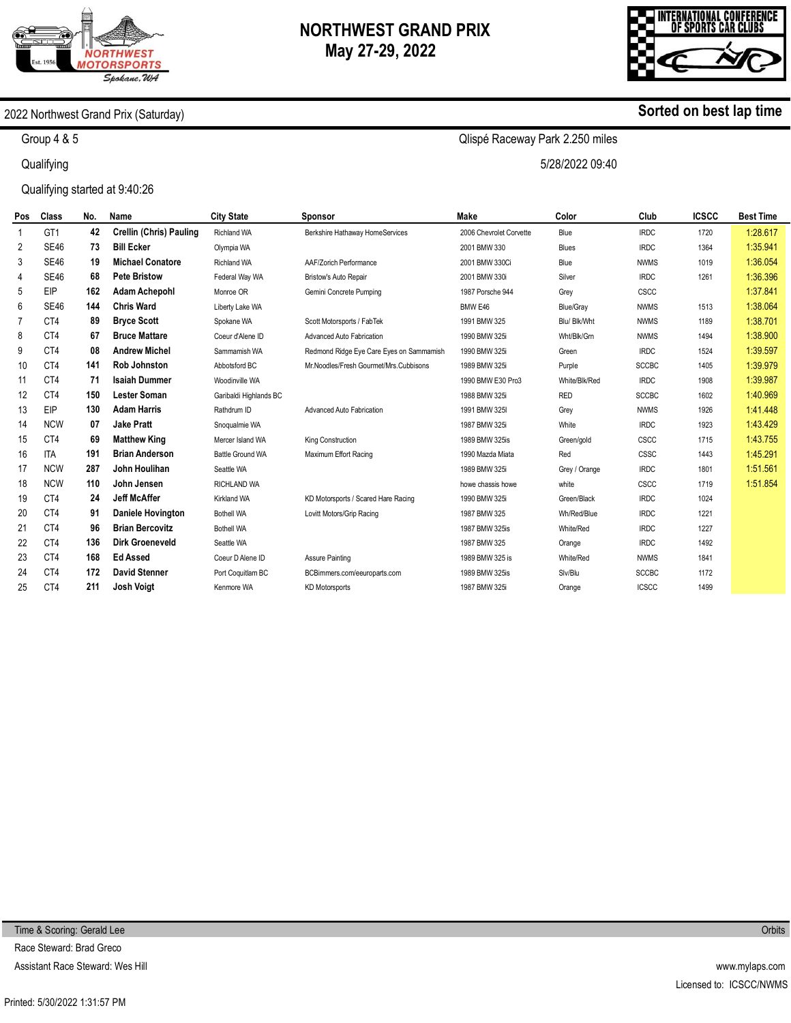



#### 2022 Northwest Grand Prix (Saturday)

Group 4 & 5

**Qualifying** 

Qualifying started at 9:40:26

| Pos | <b>Class</b>    | No. | Name                     | <b>City State</b>       | Sponsor                                  | Make                    | Color         | Club         | <b>ICSCC</b> | <b>Best Time</b> |
|-----|-----------------|-----|--------------------------|-------------------------|------------------------------------------|-------------------------|---------------|--------------|--------------|------------------|
| 1   | GT <sub>1</sub> | 42  | Crellin (Chris) Pauling  | <b>Richland WA</b>      | Berkshire Hathaway HomeServices          | 2006 Chevrolet Corvette | Blue          | <b>IRDC</b>  | 1720         | 1:28.617         |
| 2   | <b>SE46</b>     | 73  | <b>Bill Ecker</b>        | Olympia WA              |                                          | 2001 BMW 330            | Blues         | <b>IRDC</b>  | 1364         | 1:35.941         |
| 3   | <b>SE46</b>     | 19  | <b>Michael Conatore</b>  | <b>Richland WA</b>      | AAF/Zorich Performance                   | 2001 BMW 330Ci          | Blue          | <b>NWMS</b>  | 1019         | 1:36.054         |
| 4   | <b>SE46</b>     | 68  | <b>Pete Bristow</b>      | Federal Way WA          | Bristow's Auto Repair                    | 2001 BMW 330i           | Silver        | <b>IRDC</b>  | 1261         | 1:36.396         |
| 5   | EIP             | 162 | <b>Adam Achepohl</b>     | Monroe OR               | Gemini Concrete Pumping                  | 1987 Porsche 944        | Grey          | CSCC         |              | 1:37.841         |
| 6   | <b>SE46</b>     | 144 | <b>Chris Ward</b>        | Liberty Lake WA         |                                          | BMW E46                 | Blue/Gray     | <b>NWMS</b>  | 1513         | 1:38.064         |
| 7   | CT4             | 89  | <b>Bryce Scott</b>       | Spokane WA              | Scott Motorsports / FabTek               | 1991 BMW 325            | Blu/ Blk/Wht  | <b>NWMS</b>  | 1189         | 1:38.701         |
| 8   | CT4             | 67  | <b>Bruce Mattare</b>     | Coeur d'Alene ID        | Advanced Auto Fabrication                | 1990 BMW 325i           | Wht/Blk/Grn   | <b>NWMS</b>  | 1494         | 1:38.900         |
| 9   | CT4             | 08  | <b>Andrew Michel</b>     | Sammamish WA            | Redmond Ridge Eye Care Eyes on Sammamish | 1990 BMW 325i           | Green         | <b>IRDC</b>  | 1524         | 1:39.597         |
| 10  | CT4             | 141 | <b>Rob Johnston</b>      | Abbotsford BC           | Mr.Noodles/Fresh Gourmet/Mrs.Cubbisons   | 1989 BMW 325i           | Purple        | <b>SCCBC</b> | 1405         | 1:39.979         |
| 11  | CT4             | 71  | <b>Isaiah Dummer</b>     | Woodinville WA          |                                          | 1990 BMW E30 Pro3       | White/Blk/Red | <b>IRDC</b>  | 1908         | 1:39.987         |
| 12  | CT4             | 150 | <b>Lester Soman</b>      | Garibaldi Highlands BC  |                                          | 1988 BMW 325i           | <b>RED</b>    | <b>SCCBC</b> | 1602         | 1:40.969         |
| 13  | EIP             | 130 | <b>Adam Harris</b>       | Rathdrum ID             | Advanced Auto Fabrication                | 1991 BMW 325I           | Grey          | <b>NWMS</b>  | 1926         | 1:41.448         |
| 14  | <b>NCW</b>      | 07  | <b>Jake Pratt</b>        | Snoqualmie WA           |                                          | 1987 BMW 325i           | White         | <b>IRDC</b>  | 1923         | 1:43.429         |
| 15  | CT4             | 69  | <b>Matthew King</b>      | Mercer Island WA        | King Construction                        | 1989 BMW 325is          | Green/gold    | CSCC         | 1715         | 1:43.755         |
| 16  | <b>ITA</b>      | 191 | <b>Brian Anderson</b>    | <b>Battle Ground WA</b> | Maximum Effort Racing                    | 1990 Mazda Miata        | Red           | CSSC         | 1443         | 1:45.291         |
| 17  | <b>NCW</b>      | 287 | John Houlihan            | Seattle WA              |                                          | 1989 BMW 325i           | Grey / Orange | <b>IRDC</b>  | 1801         | 1:51.561         |
| 18  | <b>NCW</b>      | 110 | John Jensen              | <b>RICHLAND WA</b>      |                                          | howe chassis howe       | white         | CSCC         | 1719         | 1:51.854         |
| 19  | CT4             | 24  | <b>Jeff McAffer</b>      | Kirkland WA             | KD Motorsports / Scared Hare Racing      | 1990 BMW 325i           | Green/Black   | <b>IRDC</b>  | 1024         |                  |
| 20  | CT4             | 91  | <b>Daniele Hovington</b> | <b>Bothell WA</b>       | Lovitt Motors/Grip Racing                | 1987 BMW 325            | Wh/Red/Blue   | <b>IRDC</b>  | 1221         |                  |
| 21  | CT4             | 96  | <b>Brian Bercovitz</b>   | <b>Bothell WA</b>       |                                          | 1987 BMW 325is          | White/Red     | <b>IRDC</b>  | 1227         |                  |
| 22  | CT4             | 136 | <b>Dirk Groeneveld</b>   | Seattle WA              |                                          | 1987 BMW 325            | Orange        | <b>IRDC</b>  | 1492         |                  |
| 23  | CT4             | 168 | <b>Ed Assed</b>          | Coeur D Alene ID        | Assure Painting                          | 1989 BMW 325 is         | White/Red     | <b>NWMS</b>  | 1841         |                  |
| 24  | CT4             | 172 | <b>David Stenner</b>     | Port Coquitlam BC       | BCBimmers.com/eeuroparts.com             | 1989 BMW 325is          | Slv/Blu       | <b>SCCBC</b> | 1172         |                  |
| 25  | CT4             | 211 | <b>Josh Voigt</b>        | Kenmore WA              | <b>KD Motorsports</b>                    | 1987 BMW 325i           | Orange        | <b>ICSCC</b> | 1499         |                  |

**Orbits** 

**Sorted on best lap time**

Qlispé Raceway Park 2.250 miles

5/28/2022 09:40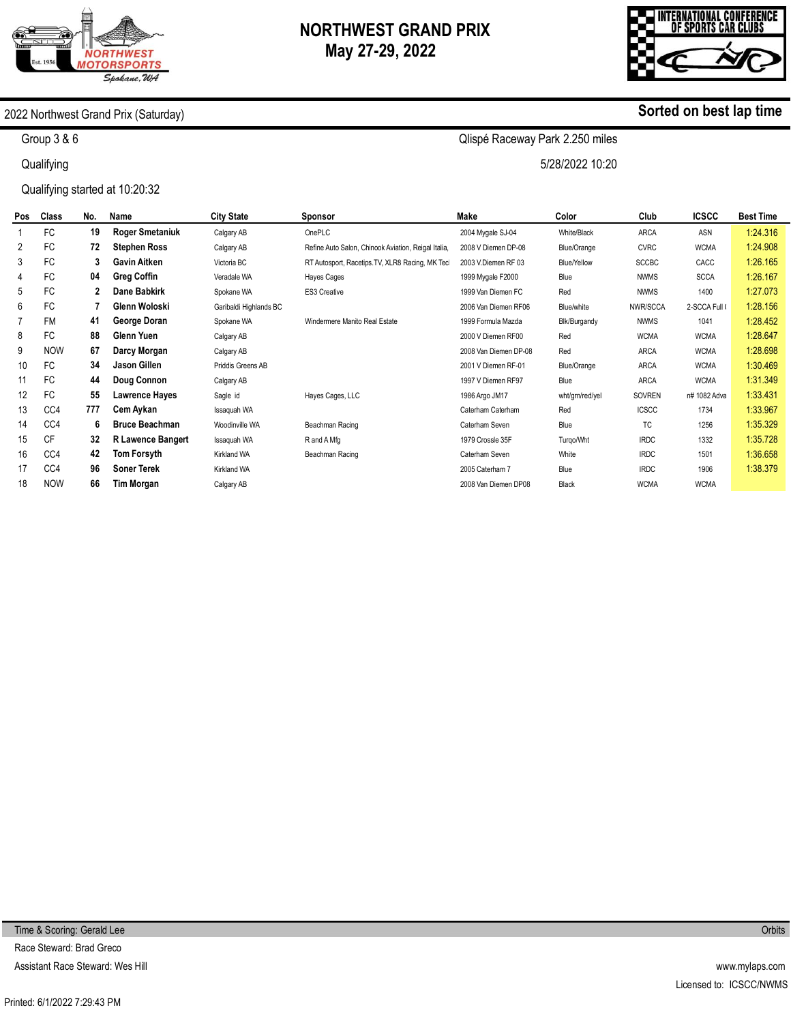



**Sorted on best lap time**

#### 2022 Northwest Grand Prix (Saturday)

Group 3 & 6

**Qualifying** 

Qualifying started at 10:20:32

Qlispé Raceway Park 2.250 miles

5/28/2022 10:20

| Pos | <b>Class</b> | No. | Name                     | <b>City State</b>      | Sponsor                                             | Make                  | Color           | Club         | <b>ICSCC</b>  | <b>Best Time</b> |
|-----|--------------|-----|--------------------------|------------------------|-----------------------------------------------------|-----------------------|-----------------|--------------|---------------|------------------|
|     | FC           | 19  | <b>Roger Smetaniuk</b>   | Calgary AB             | OnePLC                                              | 2004 Mygale SJ-04     | White/Black     | ARCA         | ASN           | 1:24.316         |
| 2   | <b>FC</b>    | 72  | <b>Stephen Ross</b>      | Calgary AB             | Refine Auto Salon, Chinook Aviation, Reigal Italia, | 2008 V Diemen DP-08   | Blue/Orange     | <b>CVRC</b>  | <b>WCMA</b>   | 1:24.908         |
| 3   | <b>FC</b>    | 3   | <b>Gavin Aitken</b>      | Victoria BC            | RT Autosport, Racetips. TV, XLR8 Racing, MK Tec     | 2003 V.Diemen RF 03   | Blue/Yellow     | <b>SCCBC</b> | CACC          | 1:26.165         |
| 4   | <b>FC</b>    | 04  | <b>Greg Coffin</b>       | Veradale WA            | Hayes Cages                                         | 1999 Mygale F2000     | Blue            | <b>NWMS</b>  | <b>SCCA</b>   | 1:26.167         |
| 5   | FC           | 2   | Dane Babkirk             | Spokane WA             | ES3 Creative                                        | 1999 Van Diemen FC    | Red             | <b>NWMS</b>  | 1400          | 1:27.073         |
| 6   | FC           |     | Glenn Woloski            | Garibaldi Highlands BC |                                                     | 2006 Van Diemen RF06  | Blue/white      | NWR/SCCA     | 2-SCCA Full ( | 1:28.156         |
|     | <b>FM</b>    | 41  | George Doran             | Spokane WA             | Windermere Manito Real Estate                       | 1999 Formula Mazda    | Blk/Burgandy    | <b>NWMS</b>  | 1041          | 1:28.452         |
| 8   | <b>FC</b>    | 88  | Glenn Yuen               | Calgary AB             |                                                     | 2000 V Diemen RF00    | Red             | <b>WCMA</b>  | <b>WCMA</b>   | 1:28.647         |
| 9   | <b>NOW</b>   | 67  | Darcy Morgan             | Calgary AB             |                                                     | 2008 Van Diemen DP-08 | Red             | <b>ARCA</b>  | <b>WCMA</b>   | 1:28.698         |
| 10  | FC           | 34  | Jason Gillen             | Priddis Greens AB      |                                                     | 2001 V Diemen RF-01   | Blue/Orange     | <b>ARCA</b>  | <b>WCMA</b>   | 1:30.469         |
| 11  | FC           | 44  | Doug Connon              | Calgary AB             |                                                     | 1997 V Diemen RF97    | Blue            | ARCA         | <b>WCMA</b>   | 1:31.349         |
| 12  | FC           | 55  | <b>Lawrence Hayes</b>    | Sagle id               | Hayes Cages, LLC                                    | 1986 Argo JM17        | wht/grn/red/yel | SOVREN       | n# 1082 Adva  | 1:33.431         |
| 13  | CC4          | 777 | Cem Aykan                | Issaquah WA            |                                                     | Caterham Caterham     | Red             | <b>ICSCC</b> | 1734          | 1:33.967         |
| 14  | CC4          | 6   | <b>Bruce Beachman</b>    | Woodinville WA         | Beachman Racing                                     | Caterham Seven        | Blue            | ТC           | 1256          | 1:35.329         |
| 15  | <b>CF</b>    | 32  | <b>R Lawence Bangert</b> | Issaquah WA            | R and A Mfg                                         | 1979 Crossle 35F      | Turgo/Wht       | <b>IRDC</b>  | 1332          | 1:35.728         |
| 16  | CC4          | 42  | Tom Forsyth              | Kirkland WA            | Beachman Racing                                     | Caterham Seven        | White           | <b>IRDC</b>  | 1501          | 1:36.658         |
| 17  | CC4          | 96  | <b>Soner Terek</b>       | Kirkland WA            |                                                     | 2005 Caterham 7       | Blue            | <b>IRDC</b>  | 1906          | 1:38.379         |
| 18  | <b>NOW</b>   | 66  | <b>Tim Morgan</b>        | Calgary AB             |                                                     | 2008 Van Diemen DP08  | Black           | <b>WCMA</b>  | <b>WCMA</b>   |                  |